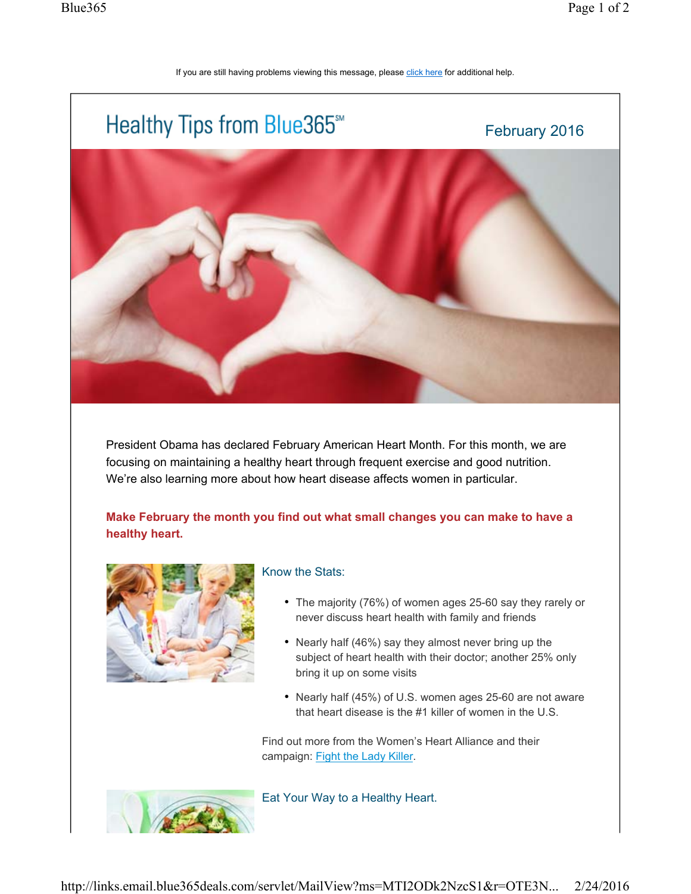## If you are still having problems viewing this message, please click here for additional help.



President Obama has declared February American Heart Month. For this month, we are focusing on maintaining a healthy heart through frequent exercise and good nutrition. We're also learning more about how heart disease affects women in particular.

**Make February the month you find out what small changes you can make to have a healthy heart.** 



## Know the Stats:

- The majority (76%) of women ages 25-60 say they rarely or never discuss heart health with family and friends
- Nearly half (46%) say they almost never bring up the subject of heart health with their doctor; another 25% only bring it up on some visits
- Nearly half (45%) of U.S. women ages 25-60 are not aware that heart disease is the #1 killer of women in the U.S.

Find out more from the Women's Heart Alliance and their campaign: Fight the Lady Killer.



Eat Your Way to a Healthy Heart.